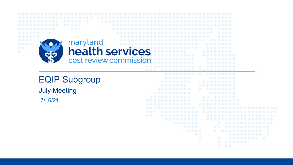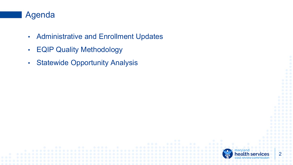#### Agenda

- Administrative and Enrollment Updates
- EQIP Quality Methodology
- Statewide Opportunity Analysis

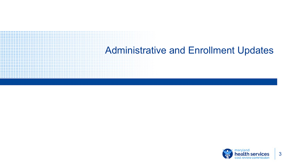# Administrative and Enrollment Updates

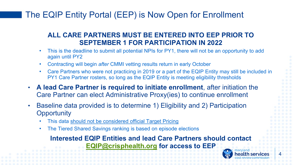# The EQIP Entity Portal (EEP) is Now Open for Enrollment

#### **ALL CARE PARTNERS MUST BE ENTERED INTO EEP PRIOR TO SEPTEMBER 1 FOR PARTICIPATION IN 2022**

- This is the deadline to submit all potential NPIs for PY1, there will not be an opportunity to add again until PY2
- Contracting will begin *after* CMMI vetting results return in early October
- Care Partners who were not practicing in 2019 or a part of the EQIP Entity may still be included in PY1 Care Partner rosters, so long as the EQIP Entity is meeting eligibility thresholds
- **A lead Care Partner is required to initiate enrollment**, after initiation the Care Partner can elect Administrative Proxy(ies) to continue enrollment
- Baseline data provided is to determine 1) Eligibility and 2) Participation **Opportunity** 
	- This data should not be considered official Target Pricing
	- The Tiered Shared Savings ranking is based on episode elections

#### **Interested EQIP Entities and lead Care Partners should contact [EQIP@crisphealth.org](mailto:EQIP@crisphealth.org) for access to EEP**

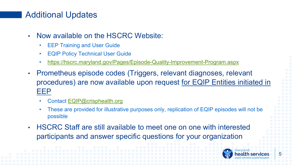### Additional Updates

- Now available on the HSCRC Website:
	- **EEP Training and User Guide**
	- **EQIP Policy Technical User Guide**
	- <https://hscrc.maryland.gov/Pages/Episode-Quality-Improvement-Program.aspx>
- Prometheus episode codes (Triggers, relevant diagnoses, relevant procedures) are now available upon request for EQIP Entities initiated in EEP
	- Contact [EQIP@crisphealth.org](mailto:EQIP@crisphealth.org)
	- These are provided for illustrative purposes only, replication of EQIP episodes will not be possible
- HSCRC Staff are still available to meet one on one with interested participants and answer specific questions for your organization

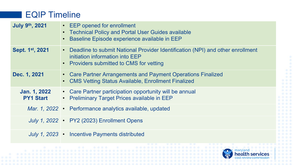### EQIP Timeline

| <b>July 9th, 2021</b>            | • EEP opened for enrollment<br>• Technical Policy and Portal User Guides available<br>Baseline Episode experience available in EEP                              |  |  |  |  |  |  |
|----------------------------------|-----------------------------------------------------------------------------------------------------------------------------------------------------------------|--|--|--|--|--|--|
| Sept. 1 <sup>st</sup> , 2021     | • Deadline to submit National Provider Identification (NPI) and other enrollment<br>initiation information into EEP<br>• Providers submitted to CMS for vetting |  |  |  |  |  |  |
| Dec. 1, 2021                     | • Care Partner Arrangements and Payment Operations Finalized<br>• CMS Vetting Status Available, Enrollment Finalized                                            |  |  |  |  |  |  |
| Jan. 1, 2022<br><b>PY1 Start</b> | • Care Partner participation opportunity will be annual<br>• Preliminary Target Prices available in EEP                                                         |  |  |  |  |  |  |
|                                  | Mar. 1, 2022 • Performance analytics available, updated                                                                                                         |  |  |  |  |  |  |
|                                  | July 1, 2022 • PY2 (2023) Enrollment Opens                                                                                                                      |  |  |  |  |  |  |
|                                  | July 1, 2023 • Incentive Payments distributed                                                                                                                   |  |  |  |  |  |  |
|                                  |                                                                                                                                                                 |  |  |  |  |  |  |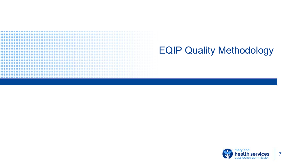# EQIP Quality Methodology

.................................... ...................................

.................................

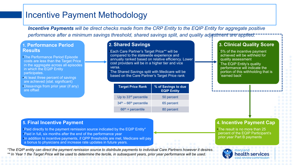# Incentive Payment Methodology

*Incentive Payments will be direct checks made from the CRP Entity to the EQIP Entity for aggregate positive*  performance after a minimum savings threshold, shared savings split, and quality adjustment are applied.

#### **1. Performance Period Results**

- •The Performance Period Episode costs are less than the Target Price in the aggregate across all episodes in which the EQIP Entity participates.
- •At least three percent of savings are achieved (stat. significant)
- •Dissavings from prior year (if any) are offset

#### **2. Shared Savings**

•Each Care Partner's Target Price\*\* will be compared to the statewide experience and annually ranked based on relative efficiency. Lower cost providers will be in a higher tier and vice versa.

•The Shared Savings split with Medicare will be based on the Care Partner's Target Price rank

| <b>Target Price Rank</b>          | % of Savings to due<br><b>EQIP Entity</b> |
|-----------------------------------|-------------------------------------------|
| Up to 33 <sup>rd</sup> percentile | 50 percent                                |
| $34th - 66th$ percentile          | 65 percent                                |
| $66th$ + percentile               | 80 percent                                |

#### **3. Clinical Quality Score**

•5% of the incentive payment achieved will be withheld for quality assessment •The EQIP Entity's quality performance will indicate the portion of this withholding that is 'earned back'

#### **5. Final Incentive Payment**

- •Paid directly to the payment remission source indicated by the EQIP Entity\*
- •Paid in full, six months after the end of the performance year
- •In addition to incentive payments, if QPP thresholds are met, Medicare will pay
- a bonus to physicians and increase rate updates in future years.

*\*The EQIP entity can direct the payment remission source to distribute payments to individual Care Partners however it desires. \*\* In Year 1 the Target Price will be used to determine the tercile, in subsequent years, prior year performance will be used.*

#### **4. Incentive Payment Cap**

•The result is no more than 25 percent of the EQIP Participant's prior year Part B payments

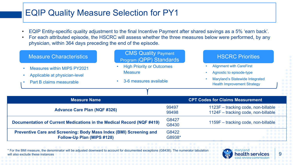# EQIP Quality Measure Selection for PY1

- EQIP Entity-specific quality adjustment to the final Incentive Payment after shared savings as a 5% 'earn back'.
- For each attributed episode, the HSCRC will assess whether the three measures below were performed, by any physician, within 364 days preceding the end of the episode.

| <b>Measure Characteristics</b>                                        | <b>CMS Quality Payment</b><br>Program (QPP) Standards |        | <b>HSCRC Priorities</b>                                                      |
|-----------------------------------------------------------------------|-------------------------------------------------------|--------|------------------------------------------------------------------------------|
| <b>Measures within MIPS PY2021</b>                                    | <b>High Priority or Outcomes</b><br><b>Measure</b>    |        | <b>Alignment with CareFirst</b>                                              |
| Applicable at physician-level                                         |                                                       |        | Agnostic to episode-type                                                     |
| Part B claims measurable                                              | 3-6 measures available<br>$\bullet$                   |        | <b>Maryland's Statewide Integrated</b><br><b>Health Improvement Strategy</b> |
|                                                                       |                                                       |        |                                                                              |
|                                                                       |                                                       |        |                                                                              |
| <b>Measure Name</b>                                                   |                                                       |        | <b>CPT Codes for Claims Measurement</b>                                      |
|                                                                       |                                                       | 99497  | 1123F - tracking code, non-billable                                          |
| <b>Advance Care Plan (NQF #326)</b>                                   |                                                       | 99498  | 1124F - tracking code, non-billable                                          |
|                                                                       |                                                       | G8427  |                                                                              |
| Documentation of Current Medications in the Medical Record (NQF #419) |                                                       | G8430  | 1159F - tracking code, non-billable                                          |
| Preventive Care and Screening: Body Mass Index (BMI) Screening and    |                                                       | G8422  |                                                                              |
| Follow-Up Plan (MIPS #128)                                            |                                                       | G8938* |                                                                              |

\* For the BMI measure, the denominator will be adjusted downward to account for documented exceptions (G8438). The numerator tabulation will also exclude these instance

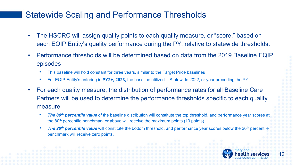### Statewide Scaling and Performance Thresholds

- The HSCRC will assign quality points to each quality measure, or "score," based on each EQIP Entity's quality performance during the PY, relative to statewide thresholds.
- Performance thresholds will be determined based on data from the 2019 Baseline EQIP episodes
	- This baseline will hold constant for three years, similar to the Target Price baselines
	- For EQIP Entity's entering in **PY2+, 2023,** the baseline utilized = Statewide 2022, or year preceding the PY
- For each quality measure, the distribution of performance rates for all Baseline Care Partners will be used to determine the performance thresholds specific to each quality measure
	- *The 80th percentile value* of the baseline distribution will constitute the top threshold, and performance year scores at the 80<sup>th</sup> percentile benchmark or above will receive the maximum points (10 points).
	- **The 20<sup>th</sup> percentile value** will constitute the bottom threshold, and performance year scores below the 20<sup>th</sup> percentile benchmark will receive zero points.

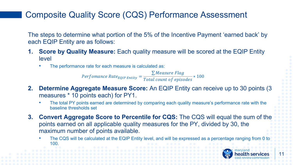# Composite Quality Score (CQS) Performance Assessment

The steps to determine what portion of the 5% of the Incentive Payment 'earned back' by each EQIP Entity are as follows:

- **1. Score by Quality Measure:** Each quality measure will be scored at the EQIP Entity level
	- The performance rate for each measure is calculated as:

 $Perfomance Rate_{EQIP Entity} = \frac{\sum Measure Flag}{Total count of ensc}$ Total count of episod ∗ 100

- **2. Determine Aggregate Measure Score:** An EQIP Entity can receive up to 30 points (3 measures \* 10 points each) for PY1.
	- The total PY points earned are determined by comparing each quality measure's performance rate with the baseline thresholds set
- **3. Convert Aggregate Score to Percentile for CQS:** The CQS will equal the sum of the points earned on all applicable quality measures for the PY, divided by 30, the maximum number of points available.
	- The CQS will be calculated at the EQIP Entity level, and will be expressed as a percentage ranging from 0 to 100.

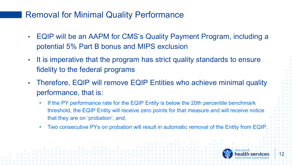#### Removal for Minimal Quality Performance

- EQIP will be an AAPM for CMS's Quality Payment Program, including a potential 5% Part B bonus and MIPS exclusion
- It is imperative that the program has strict quality standards to ensure fidelity to the federal programs
- Therefore, EQIP will remove EQIP Entities who achieve minimal quality performance, that is:
	- If the PY performance rate for the EQIP Entity is below the 20th percentile benchmark threshold, the EQIP Entity will receive zero points for that measure and will receive notice that they are on 'probation', and,
	- Two consecutive PYs on probation will result in automatic removal of the Entity from EQIP.

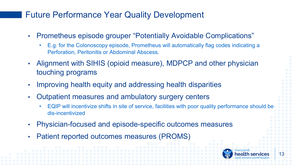# Future Performance Year Quality Development

- Prometheus episode grouper "Potentially Avoidable Complications"
	- E.g. for the Colonoscopy episode, Prometheus will automatically flag codes indicating a Perforation, Peritonitis or Abdominal Abscess.
- Alignment with SIHIS (opioid measure), MDPCP and other physician touching programs
- Improving health equity and addressing health disparities
- Outpatient measures and ambulatory surgery centers
	- EQIP will incentivize shifts in site of service, facilities with poor quality performance should be dis-incentivized
- Physician-focused and episode-specific outcomes measures
- Patient reported outcomes measures (PROMS)

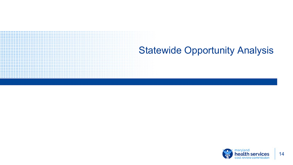# Statewide Opportunity Analysis

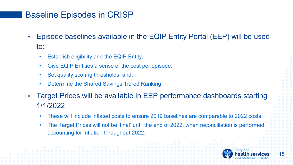# Baseline Episodes in CRISP

- Episode baselines available in the EQIP Entity Portal (EEP) will be used to:
	- Establish eligibility and the EQIP Entity,
	- Give EQIP Entities a sense of the cost per episode,
	- Set quality scoring thresholds, and,
	- Determine the Shared Savings Tiered Ranking.
- Target Prices will be available in EEP performance dashboards starting 1/1/2022
	- These will include inflated costs to ensure 2019 baselines are comparable to 2022 costs
	- The Target Prices will not be 'final' until the end of 2022, when reconciliation is performed, accounting for inflation throughout 2022.

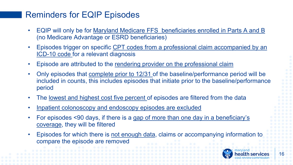## Reminders for EQIP Episodes

- EQIP will only be for Maryland Medicare FFS beneficiaries enrolled in Parts A and B (no Medicare Advantage or ESRD beneficiaries)
- Episodes trigger on specific CPT codes from a professional claim accompanied by an ICD-10 code for a relevant diagnosis
- Episode are attributed to the rendering provider on the professional claim
- Only episodes that complete prior to 12/31 of the baseline/performance period will be included in counts, this includes episodes that initiate prior to the baseline/performance period
- The lowest and highest cost five percent of episodes are filtered from the data
- Inpatient colonoscopy and endoscopy episodes are excluded
- For episodes <90 days, if there is a gap of more than one day in a beneficiary's coverage, they will be filtered
- Episodes for which there is not enough data, claims or accompanying information to compare the episode are removed

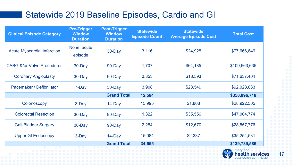### Statewide 2019 Baseline Episodes, Cardio and GI

| <b>Clinical Episode Category</b>      | <b>Pre-Trigger</b><br><b>Window</b><br><b>Duration</b> | <b>Post-Trigger</b><br><b>Window</b><br><b>Duration</b> | <b>Statewide</b><br><b>Episode Count</b> | <b>Statewide</b><br><b>Average Episode Cost</b> | <b>Total Cost</b> |
|---------------------------------------|--------------------------------------------------------|---------------------------------------------------------|------------------------------------------|-------------------------------------------------|-------------------|
| <b>Acute Myocardial Infarction</b>    | None, acute<br>episode                                 | 30-Day                                                  | 3,116                                    | \$24,925                                        | \$77,666,846      |
| <b>CABG &amp;/or Valve Procedures</b> | 30-Day                                                 | 90-Day                                                  | 1,707                                    | \$64,185                                        | \$109,563,635     |
| <b>Coronary Angioplasty</b>           | 30-Day                                                 | 90-Day                                                  | 3,853                                    | \$18,593                                        | \$71,637,404      |
| Pacemaker / Defibrillator             | 7-Day                                                  | 30-Day                                                  | 3,908                                    | \$23,549                                        | \$92,028,833      |
|                                       |                                                        | <b>Grand Total</b>                                      | 12,584                                   |                                                 | \$350,896,718     |
| Colonoscopy                           | 3-Day                                                  | 14-Day                                                  | 15,995                                   | \$1,808                                         | \$28,922,505      |
| <b>Colorectal Resection</b>           | 30-Day                                                 | 90-Day                                                  | 1,322                                    | \$35,556                                        | \$47,004,774      |
| <b>Gall Bladder Surgery</b>           | 30-Day                                                 | 90-Day                                                  | 2,254                                    | \$12,670                                        | \$28,557,776      |
| <b>Upper GI Endoscopy</b>             | 3-Day                                                  | 14-Day                                                  | 15,084                                   | \$2,337                                         | \$35,254,531      |
|                                       |                                                        | <b>Grand Total</b>                                      | 34,655                                   |                                                 | \$139,739,586     |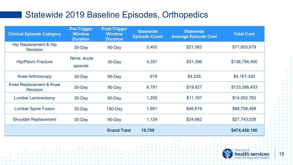# Statewide 2019 Baseline Episodes, Orthopedics

| <b>Clinical Episode Category</b>                    | <b>Pre-Trigger</b><br><b>Window</b><br><b>Duration</b> | <b>Post-Trigger</b><br><b>Window</b><br><b>Duration</b> | <b>Statewide</b><br><b>Episode Count</b> | <b>Statewide</b><br><b>Average Episode Cost</b> | <b>Total Cost</b> |
|-----------------------------------------------------|--------------------------------------------------------|---------------------------------------------------------|------------------------------------------|-------------------------------------------------|-------------------|
| <b>Hip Replacement &amp; Hip</b><br><b>Revision</b> | 30-Day                                                 | $90$ -Day                                               | 3,402                                    | \$21,062                                        | \$71,653,679      |
| <b>Hip/Pelvic Fracture</b>                          | None, acute<br>episode                                 | 30-Day                                                  | 4,357                                    | \$31,396                                        | \$136,794,460     |
| <b>Knee Arthroscopy</b>                             | $30$ -Day                                              | $90$ -Day                                               | 919                                      | \$4,535                                         | \$4,167,320       |
| Knee Replacement & Knee<br><b>Revision</b>          | 30-Day                                                 | $90$ -Day                                               | 6,791                                    | \$19,627                                        | \$133,288,453     |
| <b>Lumbar Laminectomy</b>                           | $30$ -Day                                              | $90 - Day$                                              | 1,255                                    | \$11,197                                        | \$14,052,763      |
| <b>Lumbar Spine Fusion</b>                          | $30 - Day$                                             | $180 - Day$                                             | 1,861                                    | \$46,619                                        | \$86,758,488      |
| <b>Shoulder Replacement</b>                         | $30$ -Day                                              | $90$ -Day                                               | 1,124                                    | \$24,682                                        | \$27,743,028      |
|                                                     |                                                        | <b>Grand Total</b>                                      | 19,709                                   |                                                 | \$474,458,190     |



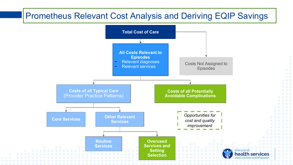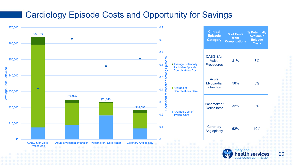#### Cardiology Episode Costs and Opportunity for Savings

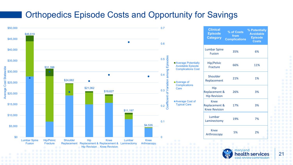#### Orthopedics Episode Costs and Opportunity for Savings

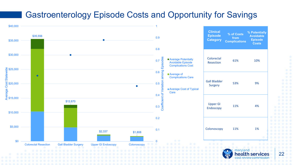### Gastroenterology Episode Costs and Opportunity for Savings

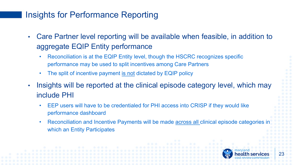# Insights for Performance Reporting

- Care Partner level reporting will be available when feasible, in addition to aggregate EQIP Entity performance
	- Reconciliation is at the EQIP Entity level, though the HSCRC recognizes specific performance may be used to split incentives among Care Partners
	- The split of incentive payment is not dictated by EQIP policy
- Insights will be reported at the clinical episode category level, which may include PHI
	- EEP users will have to be credentialed for PHI access into CRISP if they would like performance dashboard
	- Reconciliation and Incentive Payments will be made **across all clinical episode categories in** which an Entity Participates

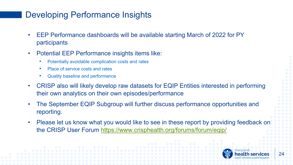# Developing Performance Insights

- EEP Performance dashboards will be available starting March of 2022 for PY participants
- Potential EEP Performance insights items like:
	- Potentially avoidable complication costs and rates
	- Place of service costs and rates
	- Quality baseline and performance
- CRISP also will likely develop raw datasets for EQIP Entities interested in performing their own analytics on their own episodes/performance
- The September EQIP Subgroup will further discuss performance opportunities and reporting.
- Please let us know what you would like to see in these report by providing feedback on the CRISP User Forum <https://www.crisphealth.org/forums/forum/eqip/>